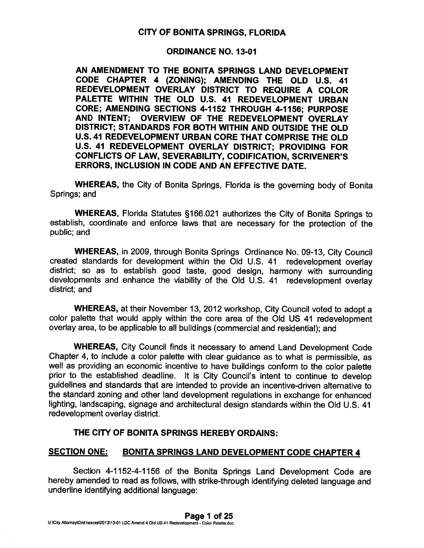# CITY OF BONITA SPRINGS, FLORIDA

# ORDINANCE NO. 13-01

AN AMENDMENT TO THE BONITA SPRINGS LAND DEVELOPMENT CODE CHAPTER 4 (ZONING); AMENDING THE OLD U.S. 41 REDEVELOPMENT OVERLAY DISTRICT TO REQUIRE <sup>A</sup> COLOR PALETTE WITHIN THE OLD U.S. 41 REDEVELOPMENT URBAN CORE; AMENDING SECTIONS 4-1152 THROUGH 4-1156; PURPOSE AND INTENT; OVERVIEW OF THE REDEVELOPMENT OVERLAY DISTRICT; STANDARDS FOR BOTH WITHIN AND OUTSIDE THE OLD U.S. 41 REDEVELOPMENT URBAN CORE THAT COMPRISE THE OLD U.S. 41 REDEVELOPMENT OVERLAY DISTRICT; PROVIDING FOR CONFLICTS OF LAW, SEVERABILITY, CODIFICATION, SCRIVENER'S ERRORS, INCLUSION IN CODE AND AN EFFECTIVE DATE.

WHEREAS, the City of Bonita Springs, Florida is the governing body of Bonita Springs; and

WHEREAS, Florida Statutes §166.021 authorizes the City of Bonita Springs to establish, coordinate and enforce laws that are necessary for the protection of the public; and

WHEREAS, in 2009, through Bonita Springs Ordinance No. 09-13, City Council created standards for development within the Old U.S. <sup>41</sup> redevelopment overlay district; so as to establish goo<sup>d</sup> taste, goo<sup>d</sup> design, harmony with surrounding developments and enhance the viability of the Old U.S. <sup>41</sup> redevelopment overlay district; and

WHEREAS, at their November 13, <sup>2012</sup> workshop, City Council voted to adopt <sup>a</sup> color palette that would apply within the core area of the Old US <sup>41</sup> redevelopment overlay area, to be applicable to all buildings (commercial and residential); and

WHEREAS, City Council finds it necessary to amend Land Development Code Chapter 4, to include <sup>a</sup> color palette with clear guidance as to what is permissible, as well as providing an economic incentive to have buildings conform to the color palette prior to the established deadline. It is City Council's intent to continue to develop guidelines and standards that are intended to provide an incentive-driven alternative to the standard zoning and other land development regulations in exchange for enhanced lighting, landscaping, signage and architectural design standards within the Old U.S. <sup>41</sup> redevelopment overlay district.

# THE CITY OF BONITA SPRINGS HEREBY ORDAINS:

# SECTION ONE: BONITA SPRINGS LAND DEVELOPMENT CODE CHAPTER 4

Section 4-1152-4-1156 of the Bonita Springs Land Development Code are hereby amended to read as follows, with strike-through identifying deleted language and underline identifying additional language: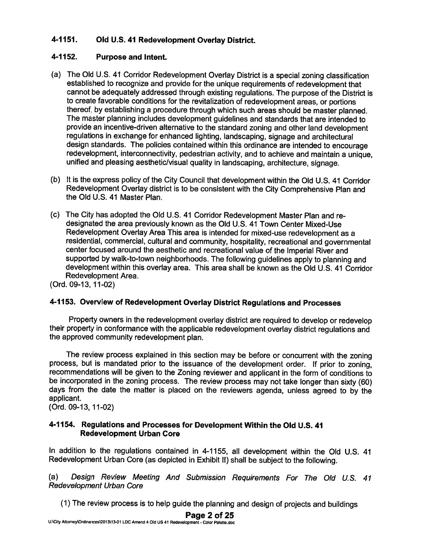# 4-1151. Old U.S. <sup>41</sup> Redevelopment Overlay District.

# 4-1152. Purpose and Intent.

- (a) The Old U.s. <sup>41</sup> Corridor Redevelopment Overlay District is <sup>a</sup> special zoning classification established to recognize and provide for the unique requirements of redevelopment that cannot be adequately addressed through existing regulations. The purpose of the District is to create favorable conditions for the revitalization of redevelopment areas, or portions thereof, by establishing <sup>a</sup> procedure through which such areas should be master <sup>p</sup>lanned. The master <sup>p</sup>lanning includes development guidelines and standards that are intended to provide an incentive-driven alternative to the standard zoning and other land development regulations in exchange for enhanced lighting, landscaping, signage and architectural design standards. The policies contained within this ordinance are intended to encourage redevelopment, interconnectivity, pedestrian activity, and to achieve and maintain <sup>a</sup> unique, unified and <sup>p</sup>leasing aesthetic/visual quality in landscaping, architecture, signage.
- (b) It is the express policy of the City Council that development within the Old U.S. <sup>41</sup> Corridor Redevelopment Overlay district is to be consistent with the City Comprehensive Plan and the Old U.S. 41 Master Plan.
- (c) The City has adopted the Old U.S. <sup>41</sup> Corridor Redevelopment Master Plan and re designated the area previously known as the Old U.S. 41 Town Center Mixed-Use Redevelopment Overlay Area This area is intended for mixed-use redevelopment as <sup>a</sup> residential, commercial, cultural and community, hospitality, recreational and governmental center focused around the aesthetic and recreational value of the Imperial River and supported by walk-to-town neighborhoods. The following guidelines apply to <sup>p</sup>lanning and development within this overlay area. This area shall be known as the Old U.S. 41 Corridor Redevelopment Area.

(Ord. 09-13, 11-02)

# 4-1153. Overview of Redevelopment Overlay District Regulations and Processes

Property owners in the redevelopment overlay district are required to develop or redevelop their property in conformance with the applicable redevelopment overlay district regulations and the approved community redevelopment plan.

The review process explained in this section may be before or concurrent with the zoning process, but is mandated prior to the issuance of the development order. If prior to zoning, recommendations will be <sup>g</sup>iven to the Zoning reviewer and applicant in the form of conditions to be incorporated in the zoning process. The review process may not take longer than sixty (60) days from the date the matter is <sup>p</sup>laced on the reviewers agenda, unless agree<sup>d</sup> to by the applicant.

(Ord. 09-13, 11-02)

#### 4-1154. Regulations and Processes for Development Within the Old U.S. <sup>41</sup> Redevelopment Urban Core

In addition to the regulations contained in 4-1155, all development within the Old U.S. <sup>41</sup> Redevelopment Urban Core (as depicted in Exhibit II) shall be subject to the following.

(a) Design Review Meeting And Submission Requirements For The Old U.S. <sup>41</sup> Redevelopment Urban Core

(1) The review process is to help guide the <sup>p</sup>lanning and design of projects and buildings

Page 2 of 25

U:\City Attomey\Ordinances\2013\13-01 LDC Amend 4 Old US 41 Redevelopment - Color Palette.doc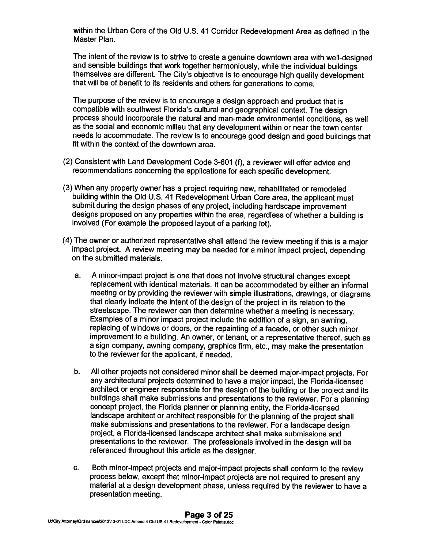within the Urban Core of the Old U.S. <sup>41</sup> Corridor Redevelopment Area as defined in the Master Plan.

The intent of the review is to strive to create <sup>a</sup> genuine downtown area with well-designed and sensible buildings that work together harmoniously, while the individual buildings themselves are different. The City's objective is to encourage high quality development that will be of benefit to its residents and others for generations to come.

The purpose of the review is to encourage <sup>a</sup> design approach and product that is compatible with southwest Florida's cultural and geographical context. The design process should incorporate the natural and man-made environmental conditions, as well as the social and economic milieu that any development within or near the town center needs to accommodate. The review is to encourage good design and good buildings that fit within the context of the downtown area.

- (2) Consistent with Land Development Code 3-601 (f), <sup>a</sup> reviewer will offer advice and recommendations concerning the applications for each specific development.
- (3) When any property owner has <sup>a</sup> project requiring new, rehabilitated or remodeled building within the Old U.S. <sup>41</sup> Redevelopment Urban Core area, the applicant must submit during the design <sup>p</sup>hases of any project, including hardscape improvement designs proposed on any properties within the area, regardless of whether <sup>a</sup> building is involved (For example the proposed layout of <sup>a</sup> parking lot).
- (4) The owner or authorized representative shall attend the review meeting if this is <sup>a</sup> major impact project. <sup>A</sup> review meeting may be needed for <sup>a</sup> minor impact project, depending on the submitted materials.
	- a. <sup>A</sup> minor-impact project is one that does not involve structural changes except replacement with identical materials. It can be accommodated by either an informal meeting or by providing the reviewer with simple illustrations, drawings, or diagrams that clearly indicate the intent of the design of the project in its relation to the streetscape. The reviewer can then determine whether <sup>a</sup> meeting is necessary. Examples of <sup>a</sup> minor impact project include the addition of <sup>a</sup> sign, an awning, replacing of windows or doors, or the repainting of <sup>a</sup> facade, or other such minor improvement to <sup>a</sup> building. An owner, or tenant, or <sup>a</sup> representative thereof, such as <sup>a</sup> sign company, awning company, graphics firm, etc., may make the presentation to the reviewer for the applicant, if needed.
	- b. All other projects not considered minor shall be deemed major-impact projects. For any architectural projects determined to have <sup>a</sup> major impact, the Florida-licensed architect or engineer responsible for the design of the building or the project and its buildings shall make submissions and presentations to the reviewer. For <sup>a</sup> <sup>p</sup>lanning concept project, the Florida <sup>p</sup>lanner or <sup>p</sup>lanning entity, the Florida-licensed landscape architect or architect responsible for the <sup>p</sup>lanning of the project shall make submissions and presentations to the reviewer. For <sup>a</sup> landscape design project, <sup>a</sup> Florida-licensed landscape architect shall make submissions and presentations to the reviewer. The professionals involved in the design will be referenced throughout this article as the designer.
	- c. Both minor-impact projects and major-impact projects shall conform to the review process below, except that minor-impact projects are not required to present any material at <sup>a</sup> design development <sup>p</sup>hase, unless required by the reviewer to have <sup>a</sup> presentation meeting.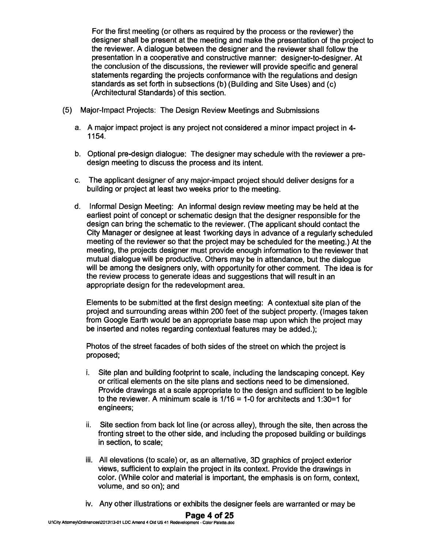For the first meeting (or others as required by the process or the reviewer) the designer shall be presen<sup>t</sup> at the meeting and make the presentation of the project to the reviewer. A dialogue between the designer and the reviewer shall follow the presentation in <sup>a</sup> cooperative and constructive manner: designer-to-designer. At the conclusion of the discussions, the reviewer will provide specific and genera<sup>l</sup> statements regarding the projects conformance with the regulations and design standards as set forth in subsections (b) (Building and Site Uses) and (c) (Architectural Standards) of this section.

- (5) Major-Impact Projects: The Design Review Meetings and Submissions
	- a. <sup>A</sup> major impact project is any project not considered <sup>a</sup> minor impact project in 4- 1154.
	- b. Optional pre-design dialogue: The designer may schedule with the reviewer <sup>a</sup> pre design meeting to discuss the process and its intent.
	- c. The applicant designer of any major-impact project should deliver designs for <sup>a</sup> building or project at least two weeks prior to the meeting.
	- d. Informal Design Meeting: An informal design review meeting may be held at the earliest point of concep<sup>t</sup> or schematic design that the designer responsible for the design can bring the schematic to the reviewer. (The applicant should contact the City Manager or designee at least iworking days in advance of <sup>a</sup> regularly scheduled meeting of the reviewer so that the project may be scheduled for the meeting.) At the meeting, the projects designer must provide enough information to the reviewer that mutual dialogue will be productive. Others may be in attendance, but the dialogue will be among the designers only, with opportunity for other comment. The idea is for the review process to generate ideas and suggestions that will result in an appropriate design for the redevelopment area.

Elements to be submitted at the first design meeting: <sup>A</sup> contextual site <sup>p</sup>lan of the project and surrounding areas within 200 feet of the subject property. (Images taken from Google Earth would be an appropriate base map upon which the project may be inserted and notes regarding contextual features may be added.);

Photos of the street facades of both sides of the street on which the project is proposed;

- i. Site plan and building footprint to scale, including the landscaping concept. Key or critical elements on the site plans and sections need to be dimensioned. Provide drawings at <sup>a</sup> scale appropriate to the design and sufficient to be legible to the reviewer. A minimum scale is 1/16 <sup>=</sup> 1-0 for architects and 1:30=1 for engineers;
- ii. Site section from back lot line (or across alley), through the site, then across the fronting street to the other side, and including the proposed building or buildings in section, to scale;
- iii. All elevations (to scale) or, as an alternative, 3D graphics of project exterior views, sufficient to explain the project in its context. Provide the drawings in color. (While color and material is important, the emphasis is on form, context, volume, and so on); and
- iv. Any other illustrations or exhibits the designer feels are warranted or may be

#### Page 4 of 25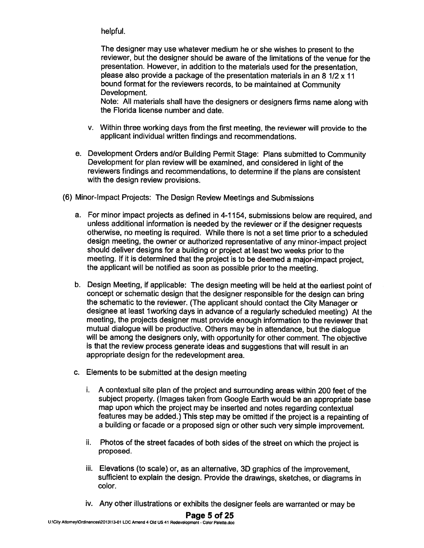helpful.

The designer may use whatever medium he or she wishes to presen<sup>t</sup> to the reviewer, but the designer should be aware of the limitations of the venue for the presentation. However, in addition to the materials used for the presentation, please also provide <sup>a</sup> package of the presentation materials in an 8 1/2 <sup>x</sup> 11 bound format for the reviewers records, to be maintained at Community Development.

Note: All materials shall have the designers or designers firms name along with the Florida license number and date.

- v. Within three working days from the first meeting, the reviewer will provide to the applicant individual written findings and recommendations.
- e. Development Orders and/or Building Permit Stage: Plans submitted to Community Development for <sup>p</sup>lan review will be examined, and considered in light of the reviewers findings and recommendations, to determine if the <sup>p</sup>lans are consistent with the design review provisions.
- (6) Minor-Impact Projects: The Design Review Meetings and Submissions
	- a. For minor impact projects as defined in 4-1154, submissions below are required, and unless additional information is needed by the reviewer or if the designer requests otherwise, no meeting is required. While there is not <sup>a</sup> set time prior to <sup>a</sup> scheduled design meeting, the owner or authorized representative of any minor-impact project should deliver designs for <sup>a</sup> building or project at least two weeks prior to the meeting. If it is determined that the project is to be deemed <sup>a</sup> major-impact project, the applicant will be notified as soon as possible prior to the meeting.
	- b. Design Meeting, if applicable: The design meeting will be held at the earliest point of concep<sup>t</sup> or schematic design that the designer responsible for the design can bring the schematic to the reviewer. (The applicant should contact the City Manager or designee at least 1working days in advance of a regularly scheduled meeting) At the meeting, the projects designer must provide enoug<sup>h</sup> information to the reviewer that mutual dialogue will be productive. Others may be in attendance, but the dialogue will be among the designers only, with opportunity for other comment. The objective is that the review process generate ideas and suggestions that will result in an appropriate design for the redevelopment area.
	- c. Elements to be submitted at the design meeting
		- i. A contextual site plan of the project and surrounding areas within 200 feet of the subject property. (Images taken from Google Earth would be an appropriate base map upon which the project may be inserted and notes regarding contextual features may be added.) This step may be omitted if the project is <sup>a</sup> repainting of <sup>a</sup> building or facade or <sup>a</sup> propose<sup>d</sup> sign or other such very simple improvement.
		- ii. Photos of the street facades of both sides of the street on which the project is proposed.
		- iii. Elevations (to scale) or, as an alternative, 3D graphics of the improvement, sufficient to explain the design. Provide the drawings, sketches, or diagrams in color.
		- iv. Any other illustrations or exhibits the designer feels are warranted or may be

#### Page 5 of 25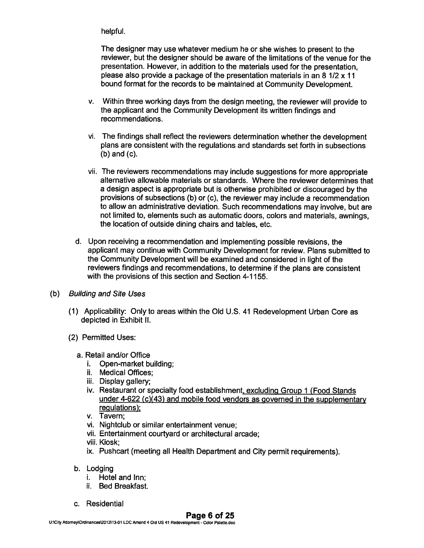# helpful.

The designer may use whatever medium he or she wishes to presen<sup>t</sup> to the reviewer, but the designer should be aware of the limitations of the venue for the presentation. However, in addition to the materials used for the presentation, please also provide <sup>a</sup> package of the presentation materials in an 8 1/2 <sup>x</sup> 11 bound format for the records to be maintained at Community Development.

- v. Within three working days from the design meeting, the reviewer will provide to the applicant and the Community Development its written findings and recommendations.
- vi. The findings shall reflect the reviewers determination whether the development plans are consistent with the regulations and standards set forth in subsections (b) and (c).
- vii. The reviewers recommendations may include suggestions for more appropriate alternative allowable materials or standards. Where the reviewer determines that <sup>a</sup> design aspec<sup>t</sup> is appropriate but is otherwise prohibited or discouraged by the provisions of subsections (b) or (c), the reviewer may include <sup>a</sup> recommendation to allow an administrative deviation. Such recommendations may involve, but are not limited to, elements such as automatic doors, colors and materials, awnings, the location of outside dining chairs and tables, etc.
- d. Upon receiving <sup>a</sup> recommendation and implementing possible revisions, the applicant may continue with Community Development for review. Plans submitted to the Community Development will be examined and considered in light of the reviewers findings and recommendations, to determine if the <sup>p</sup>lans are consistent with the provisions of this section and Section 4-1 155.
- (b) Building and Site Uses
	- (1) Applicability: Only to areas within the Old U.S. 41 Redevelopment Urban Core as depicted in Exhibit II.
	- (2) Permitted Uses:
		- a. Retail and/or Office
			- i. Open-market building;
			- ii. Medical Offices;
			- iii. Display gallery;
			- iv. Restaurant or specialty food establishment, excluding Group <sup>1</sup> (Food Stands under 4-622 (c)(43) and mobile food vendors as governe<sup>d</sup> in the supplementary regulations);
			- v. Tavern;
			- vi. Nightclub or similar entertainment venue;
			- vii. Entertainment courtyard or architectural arcade;
			- viii. Kiosk;
			- ix. Pushcart (meeting all Health Department and City permit requirements).
		- b. Lodging
			- i. Hotel and Inn;
			- ii. Bed Breakfast.
		- c. Residential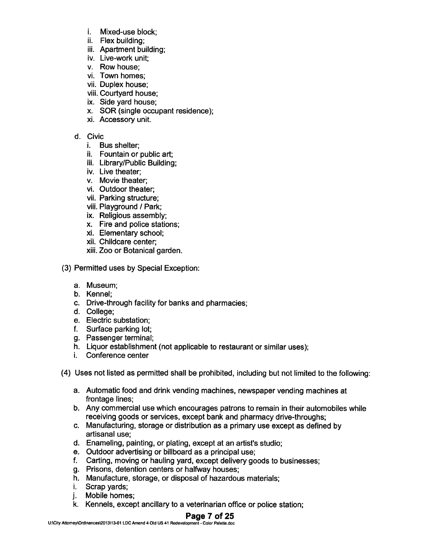- i. Mixed-use block;
- ii. Flex building;
- iii. Apartment building;
- iv. Live-work unit;
- v. Row house;
- vi. Town homes;
- vii. Duplex house;
- viii. Courtyard house;
- ix. Side yard house;
- x. SOR (single occupan<sup>t</sup> residence);
- xi. Accessory unit.

# d. Civic

- i. Bus shelter;
- ii. Fountain or public art;
- iii. Library/Public Building;
- iv. Live theater;
- v. Movie theater;
- vi. Outdoor theater;
- vii. Parking structure;
- viii. Playground / Park;
- ix. Religious assembly;
- x. Fire and police stations;
- xi. Elementary school;
- xii. Childcare center;
- xiii. Zoo or Botanical garden.
- (3) Permitted uses by Special Exception:
	- a. Museum;
	- b. Kennel;
	- c. Drive-through facility for banks and pharmacies;
	- d. College;
	- e. Electric substation;
	- f. Surface parking lot;
	- g. Passenger terminal;
	- h. Liquor establishment (not applicable to restaurant or similar uses);
	- i. Conference center
- (4) Uses not listed as permitted shall be prohibited, including but not limited to the following:
	- a. Automatic food and drink vending machines, newspaper vending machines at frontage lines;
	- b. Any commercial use which encourages patrons to remain in their automobiles while receiving goods or services, excep<sup>t</sup> bank and pharmacy drive-throughs;
	- c. Manufacturing, storage or distribution as <sup>a</sup> primary use excep<sup>t</sup> as defined by artisanal use;
	- d. Enameling, painting, or plating, excep<sup>t</sup> at an artist's studio;
	- e. Outdoor advertising or billboard as <sup>a</sup> principal use;
	- f. Carting, moving or hauling yard, excep<sup>t</sup> delivery goods to businesses;
	- g. Prisons, detention centers or halfway houses;
	- h. Manufacture, storage, or disposal of hazardous materials;
	- i. Scrap yards;
	- j. Mobile homes;
	- k. Kennels, excep<sup>t</sup> ancillary to <sup>a</sup> veterinarian office or police station;

# Page 7 of 25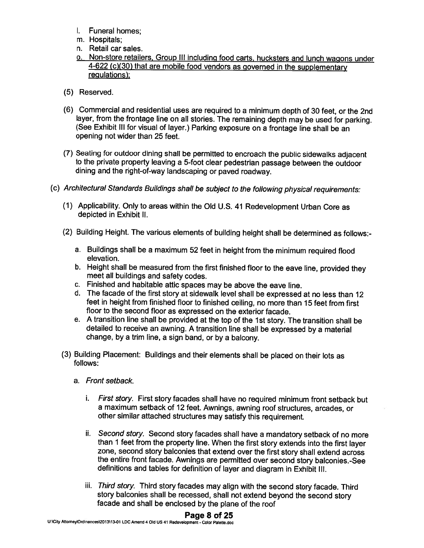- I. Funeral homes;
- m. Hospitals;
- n. Retail car sales.
- o. Non-store retailers, Group III including food carts, hucksters and lunch wagons under 4-622 (c)(30) that are mobile food vendors as governed in the supplementary regulations):
- (5) Reserved.
- (6) Commercial and residential uses are required to <sup>a</sup> minimum depth of <sup>30</sup> feet, or the 2nd layer, from the frontage line on all stories. The remaining depth may be used for parking. (See Exhibit Ill for visual of layer.) Parking exposure on <sup>a</sup> frontage line shall be an opening not wider than 25 feet.
- (7) Seating for outdoor dining shall be permitted to encroach the public sidewalks adjacent to the private property leaving <sup>a</sup> 5-foot clear pedestrian passage between the outdoor dining and the right-of-way landscaping or paved roadway.
- (c) Architectural Standards Buildings shall be subject to the following <sup>p</sup>hysical requirements:
	- (1) Applicability. Only to areas within the Old U.S. <sup>41</sup> Redevelopment Urban Core as depicted in Exhibit II.
	- (2) Building Height. The various elements of building height shall be determined as follows:
		- a. Buildings shall be <sup>a</sup> maximum <sup>52</sup> feet in height from the minimum required flood elevation.
		- b. Height shall be measured from the first finished floor to the eave line, provided they meet all buildings and safety codes.
		- c. Finished and habitable attic spaces may be above the eave line.
		- d. The facade of the first story at sidewalk level shall be expressed at no less than <sup>12</sup> feet in height from finished floor to finished ceiling, no more than <sup>15</sup> feet from first floor to the second floor as expressed on the exterior facade.
		- e. <sup>A</sup> transition line shall be provided at the top of the 1st story. The transition shall be detailed to receive an awning. <sup>A</sup> transition line shall be expressed by <sup>a</sup> material change, by <sup>a</sup> trim line, <sup>a</sup> sign band, or by <sup>a</sup> balcony.
	- (3) Building Placement: Buildings and their elements shall be <sup>p</sup>laced on their lots as follows:
		- a. Front setback.
			- i. First story. First story facades shall have no required minimum front setback but <sup>a</sup> maximum setback of <sup>12</sup> feet. Awnings, awning roof structures, arcades, or other similar attached structures may satisfy this requirement.
			- ii. Second story. Second story facades shall have <sup>a</sup> mandatory setback of no more than <sup>1</sup> feet from the property line. When the first story extends into the first layer zone, second story balconies that extend over the first story shall extend across the entire front facade. Awnings are permitted over second story balconies.-See definitions and tables for definition of layer and diagram in Exhibit Ill.
			- iii. Third story. Third story facades may align with the second story facade. Third story balconies shall be recessed, shall not extend beyond the second story facade and shall be enclosed by the <sup>p</sup>lane of the roof

# Page 8 of 25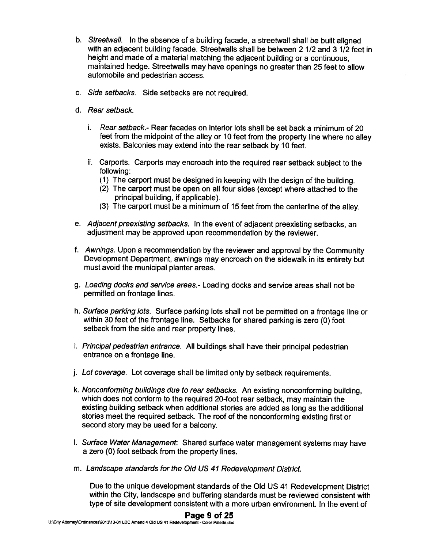- b. Streetwall. In the absence of <sup>a</sup> building facade, <sup>a</sup> streetwall shall be built aligned with an adjacent building facade. Streetwalls shall be between 2 1/2 and 3 1/2 feet in height and made of <sup>a</sup> material matching the adjacent building or <sup>a</sup> continuous, maintained hedge. Streetwalls may have openings no greater than 25 feet to allow automobile and pedestrian access.
- c. Side setbacks. Side setbacks are not required.
- d. Rear setback.
	- i. Rear setback.- Rear facades on interior lots shall be set back <sup>a</sup> minimum of 20 feet from the midpoint of the alley or <sup>10</sup> feet from the property line where no alley exists. Balconies may extend into the rear setback by <sup>10</sup> feet.
	- ii. Carports. Carports may encroach into the required rear setback subject to the following:
		- (1) The carpor<sup>t</sup> must be designed in keeping with the design of the building.
		- (2) The carpor<sup>t</sup> must be open on all four sides (except where attached to the principal building, if applicable).
		- (3) The carpor<sup>t</sup> must be <sup>a</sup> minimum of <sup>15</sup> feet from the centerline of the alley.
- e. Adjacent preexisting setbacks. In the event of adjacent preexisting setbacks, an adjustment may be approved upon recommendation by the reviewer.
- f. Awnings. Upon <sup>a</sup> recommendation by the reviewer and approva<sup>l</sup> by the Community Development Department, awnings may encroach on the sidewalk in its entirety but must avoid the municipal planter areas.
- g. Loading docks and service areas.- Loading docks and service areas shall not be permitted on frontage lines.
- h. Surface parking lots. Surface parking lots shall not be permitted on <sup>a</sup> frontage line or within <sup>30</sup> feet of the frontage line. Setbacks for shared parking is zero (0) foot setback from the side and rear property lines.
- i. Principal pedestrian entrance. All buildings shall have their principal pedestrian entrance on <sup>a</sup> frontage line.
- j. Lot coverage. Lot coverage shall be limited only by setback requirements.
- k. Nonconforming buildings due to rear setbacks. An existing nonconforming building, which does not conform to the required 20-foot rear setback, may maintain the existing building setback when additional stories are added as long as the additional stories meet the required setback. The roof of the nonconforming existing first or second story may be used for <sup>a</sup> balcony.
- I. Surface Water Management: Shared surface water managemen<sup>t</sup> systems may have <sup>a</sup> zero (0) foot setback from the property lines.
- m. Landscape standards for the Old US 41 Redevelopment District.

Due to the unique development standards of the Old US <sup>41</sup> Redevelopment District within the City, landscape and buffering standards must be reviewed consistent with type of site development consistent with <sup>a</sup> more urban environment. In the event of

#### Page 9 of 25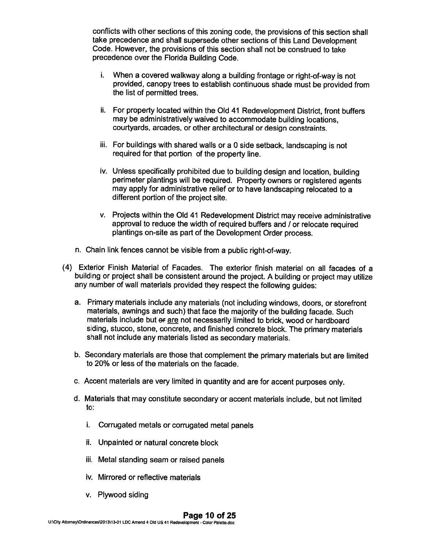conflicts with other sections of this zoning code, the provisions of this section shall take precedence and shall supersede other sections of this Land Development Code. However, the provisions of this section shall not be construed to take precedence over the Florida Building Code.

- i. When <sup>a</sup> covered walkway along <sup>a</sup> building frontage or right-of-way is not provided, canopy trees to establish continuous shade must be provided from the list of permitted trees.
- ii. For property located within the Old <sup>41</sup> Redevelopment District, front buffers may be administratively waived to accommodate building locations, courtyards, arcades, or other architectural or design constraints.
- iii. For buildings with shared walls or <sup>a</sup> <sup>0</sup> side setback, landscaping is not required for that portion of the property line.
- iv. Unless specifically prohibited due to building design and location, building perimeter <sup>p</sup>lantings will be required. Property owners or registered agents may apply for administrative relief or to have landscaping relocated to <sup>a</sup> different portion of the project site.
- v. Projects within the Old <sup>41</sup> Redevelopment District may receive administrative approval to reduce the width of required buffers and / or relocate required <sup>p</sup>lantings on-site as par<sup>t</sup> of the Development Order process.
- n. Chain link fences cannot be visible from <sup>a</sup> public right-of-way.
- (4) Exterior Finish Material of Facades. The exterior finish material on all facades of <sup>a</sup> building or project shall be consistent around the project. <sup>A</sup> building or project may utilize any number of wall materials provided they respec<sup>t</sup> the following guides:
	- a. Primary materials include any materials (not including windows, doors, or storefront materials, awnings and such) that face the majority of the building facade. Such materials include but of are not necessarily limited to brick, wood or hardboard siding, stucco, stone, concrete, and finished concrete block. The primary materials shall not include any materials listed as secondary materials.
	- b. Secondary materials are those that complement the primary materials but are limited to 20% or less of the materials on the facade.
	- c. Accent materials are very limited in quantity and are for accent purposes only.
	- d. Materials that may constitute secondary or accent materials include, but not limited to:
		- i. Corrugated metals or corrugated metal panels
		- ii. Unpainted or natural concrete block
		- iii. Metal standing seam or raised panels
		- iv. Mirrored or reflective materials
		- v. Plywood siding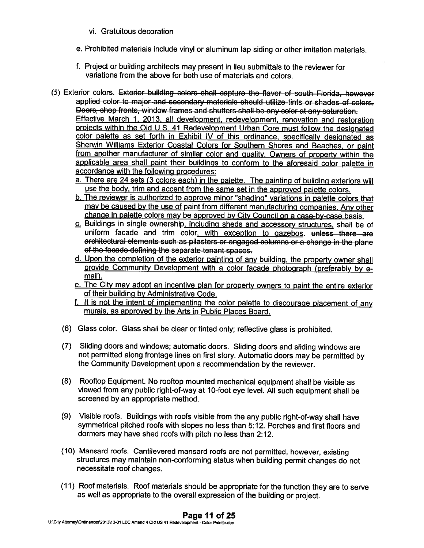- vi. Gratuitous decoration
- e. Prohibited materials include vinyl or aluminum lap siding or other imitation materials.
- f. Project or building architects may presen<sup>t</sup> in lieu submittals to the reviewer for variations from the above for both use of materials and colors.
- (5) Exterior colors. Exterior building colors shall capture the flavor of south Florida, however applied color to major and secondary matorials should utilize tints or shades of colors. Doors, shop fronts, window frames and shutters shall be any color at any saturation. Effective March 1, 2013, all development, redevelopment, renovation and restoration proiects within the Old U.S. <sup>41</sup> Redevelopment Urban Core must follow the designated color palette as set forth in Exhibit IV of this ordinance, specifically designated as Sherwin Williams Exterior Coastal Colors for Southern Shores and Beaches, or paint from another manufacturer of similar color and guality. Owners of property within the applicable area shall paint their buildings to conform to the aforesaid color palette in accordance with the following procedures:
	- a. There are 24 sets (3 colors each) in the palette. The painting of building exteriors will use the body, trim and accent from the same set in the approve<sup>d</sup> palette colors.
	- b. The reviewer is authorized to approve minor "shading" variations in palette colors that may be caused by the use of paint from different manufacturing companies. Any other change in palette colors may be approved by City Council on a case-by-case basis.
	- c. Buildings in single ownership, including sheds and accessory structures, shall be of uniform facade and trim color, with exception to gazebos,  $t$  unless there are architectural elements such as <sup>p</sup>ilasters or engage<sup>d</sup> columns or <sup>a</sup> change in the <sup>p</sup>lane of the facade defining the separate tenant spaces.
	- d. Upon the completion of the exterior painting of any building, the property owner shall provide Community Development with a color facade photograph (preferably by email).
	- e. The City may adopt an incentive <sup>p</sup>lan for property owners to paint the entire exterior of their building by Administrative Code.
	- f. It is not the intent of implementing the color palette to discourage <sup>p</sup>lacement of any murals, as approve<sup>d</sup> by the Arts in Public Places Board.
	- (6) Glass color. Glass shall be clear or tinted only; reflective <sup>g</sup>lass is prohibited.
	- (7) Sliding doors and windows; automatic doors. Sliding doors and sliding windows are not permitted along frontage lines on first story. Automatic doors may be permitted by the Community Development upon <sup>a</sup> recommendation by the reviewer.
	- (8) Rooftop Equipment. No rooftop mounted mechanical equipment shall be visible as viewed from any public right-of-way at 10-foot eye level. All such equipment shall be screened by an appropriate method.
	- (9) Visible roofs. Buildings with roofs visible from the any public right-of-way shall have symmetrical <sup>p</sup>itched roofs with slopes no less than 5:12. Porches and first floors and dormers may have shed roofs with <sup>p</sup>itch no less than 2:12.
	- (10) Mansard roofs. Cantilevered mansard roofs are not permitted, however, existing structures may maintain non-conforming status when building permit changes do not necessitate roof changes.
	- (11) Roof materials. Roof materials should be appropriate for the function they are to serve as well as appropriate to the overall expression of the building or project.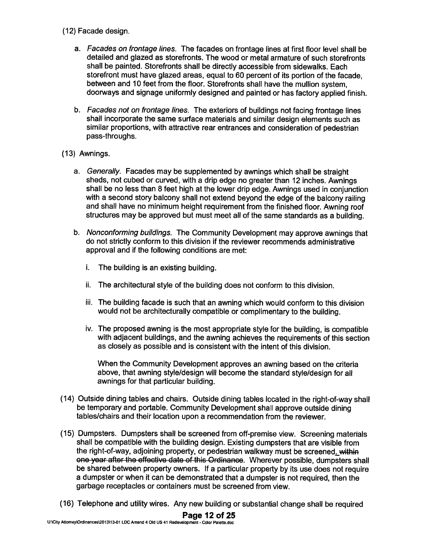# (12) Facade design.

- a. Facades on frontage lines. The facades on frontage lines at first floor level shall be detailed and glazed as storefronts. The wood or metal armature of such storefronts shall be painted. Storefronts shall be directly accessible from sidewalks. Each storefront must have <sup>g</sup>lazed areas, equa<sup>l</sup> to <sup>60</sup> percen<sup>t</sup> of its portion of the facade, between and <sup>10</sup> feet from the floor. Storefronts shall have the mullion system, doorways and signage uniformly designed and painted or has factory applied finish.
- b. Facades not on frontage lines. The exteriors of buildings not facing frontage lines shall incorporate the same surface materials and similar design elements such as similar proportions, with attractive rear entrances and consideration of pedestrian pass-throughs.
- (13) Awnings.
	- a. Generally. Facades may be supplemented by awnings which shall be straight sheds, not cubed or curved, with <sup>a</sup> drip edge no greater than <sup>12</sup> inches. Awnings shall be no less than <sup>8</sup> feet high at the lower drip edge. Awnings used in conjunction with <sup>a</sup> second story balcony shall not extend beyond the edge of the balcony railing and shall have no minimum height requirement from the finished floor. Awning roof structures may be approve<sup>d</sup> but must meet all of the same standards as <sup>a</sup> building.
	- b. Nonconforming buildings. The Community Development may approve awnings that do not strictly conform to this division if the reviewer recommends administrative approval and if the following conditions are met:
		- i. The building is an existing building.
		- ii. The architectural style of the building does not conform to this division.
		- iii. The building facade is such that an awning which would conform to this division would not be architecturally compatible or complimentary to the building.
		- iv. The propose<sup>d</sup> awning is the most appropriate style for the building, is compatible with adjacent buildings, and the awning achieves the requirements of this section as closely as possible and is consistent with the intent of this division.

When the Community Development approves an awning based on the criteria above, that awning style/design will become the standard style/design for all awnings for that particular building.

- (14) Outside dining tables and chairs. Outside dining tables located in the right-of-way shall be temporary and portable. Community Development shall approve outside dining tables/chairs and their location upon <sup>a</sup> recommendation from the reviewer.
- (15) Dumpsters. Dumpsters shall be screened from off-premise view. Screening materials shall be compatible with the building design. Existing dumpsters that are visible from the right-of-way, adjoining property, or pedestrian walkway must be screened. within one year after the effective date of this Ordinance. Wherever possible, dumpsters shall be shared between property owners. If <sup>a</sup> particular property by its use does not require <sup>a</sup> dumpster or when it can be demonstrated that <sup>a</sup> dumpster is not required, then the garbage receptacles or containers must be screened from view.
- (16) Telephone and utility wires. Any new building or substantial change shall be required

#### Page 12 of 25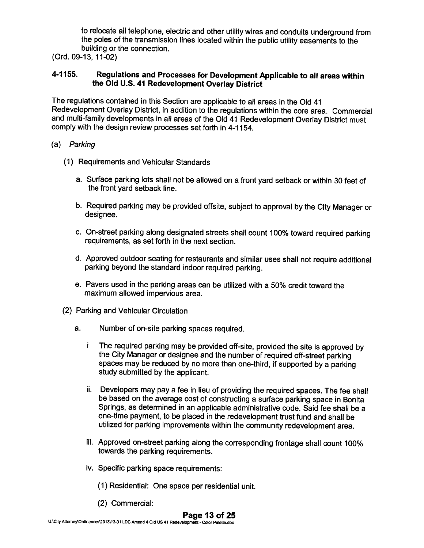to relocate all telephone, electric and other utility wires and conduits underground from the poles of the transmission lines located within the public utility easements to the building or the connection.

(Ord. 09-13, 11-02)

#### 4-1155. Regulations and Processes for Development Applicable to all areas within the Old U.S. <sup>41</sup> Redevelopment Overlay District

The regulations contained in this Section are applicable to all areas in the Old <sup>41</sup> Redevelopment Overlay District, in addition to the regulations within the core area. Commercial and multi-family developments in all areas of the Old <sup>41</sup> Redevelopment Overlay District must comply with the design review processes set forth in 4-1 154.

#### (a) Parking

- (1) Requirements and Vehicular Standards
	- a. Surface parking lots shall not be allowed on <sup>a</sup> front yard setback or within <sup>30</sup> feet of the front yard setback line.
	- b. Required parking may be provided offsite, subject to approval by the City Manager or designee.
	- c. On-street parking along designated streets shall count 100% toward required parking requirements, as set forth in the next section.
	- d. Approved outdoor seating for restaurants and similar uses shall not require additional parking beyond the standard indoor required parking.
	- e. Payers used in the parking areas can be utilized with <sup>a</sup> 50% credit toward the maximum allowed impervious area.
- (2) Parking and Vehicular Circulation
	- a. Number of on-site parking spaces required.
		- <sup>i</sup> The required parking may be provided off-site, provided the site is approved by the City Manager or designee and the number of required off-street parking spaces may be reduced by no more than one-third, if supported by <sup>a</sup> parking study submitted by the applicant.
		- ii. Developers may pay <sup>a</sup> fee in lieu of providing the required spaces. The fee shall be based on the average cost of constructing <sup>a</sup> surface parking space in Bonita Springs, as determined in an applicable administrative code. Said fee shall be <sup>a</sup> one-time payment, to be <sup>p</sup>laced in the redevelopment trust fund and shall be utilized for parking improvements within the community redevelopment area.
		- iii. Approved on-street parking along the corresponding frontage shall count 100% towards the parking requirements.
		- iv. Specific parking space requirements:
			- (1) Residential: One space per residential unit.
			- (2) Commercial:

# Page 13 of 25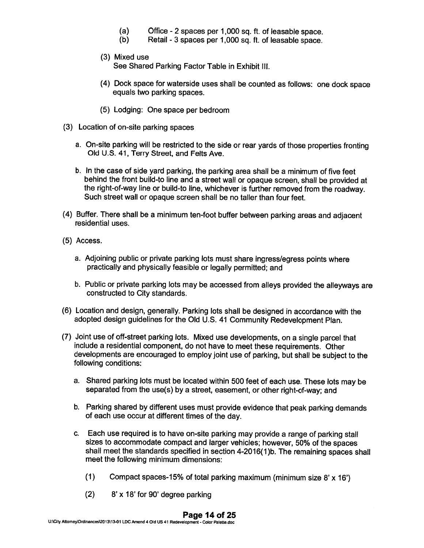- (a) Office 2 spaces per 1,000 sq. ft. of leasable space.<br>(b) Retail 3 spaces per 1.000 sq. ft. of leasable space.
- Retail 3 spaces per 1,000 sq. ft. of leasable space.
- (3) Mixed use See Shared Parking Factor Table in Exhibit Ill.
- (4) Dock space for waterside uses shall be counted as follows: one dock space equals two parking spaces.
- (5) Lodging: One space per bedroom
- (3) Location of on-site parking spaces
	- a. On-site parking will be restricted to the side or rear yards of those properties fronting Old U.S. 41, Terry Street, and Felts Ave.
	- b. In the case of side yar<sup>d</sup> parking, the parking area shall be <sup>a</sup> minimum of five feet behind the front build-to line and <sup>a</sup> street wall or opaque screen, shall be provided at the right-of-way line or build-to line, whichever is further removed from the roadway. Such street wall or opaque screen shall be no taller than four feet.
- (4) Buffer. There shall be <sup>a</sup> minimum ten-foot buffer between parking areas and adjacent residential uses.
- (5) Access.
	- a. Adjoining public or private parking lots must share ingress/egress points where practically and <sup>p</sup>hysically feasible or legally permitted; and
	- b. Public or private parking lots may be accessed from alleys provided the alleyways are constructed to City standards.
- (6) Location and design, generally. Parking lots shall be designed in accordance with the adopted design guidelines for the Old U.S. <sup>41</sup> Community Redevelopment Plan.
- (7) Joint use of off-street parking lots. Mixed use developments, on <sup>a</sup> single parce<sup>l</sup> that include <sup>a</sup> residential component, do not have to meet these requirements. Other developments are encourage<sup>d</sup> to employ joint use of parking, but shall be subject to the following conditions:
	- a. Shared parking lots must be located within <sup>500</sup> feet of each use. These lots may be separated from the use(s) by <sup>a</sup> street, easement, or other right-of-way; and
	- b. Parking shared by different uses must provide evidence that pea<sup>k</sup> parking demands of each use occur at different times of the day.
	- c. Each use required is to have on-site parking may provide <sup>a</sup> range of parking stall sizes to accommodate compac<sup>t</sup> and larger vehicles; however, 50% of the spaces shall meet the standards specified in section 4-2016(1)b. The remaining spaces shall meet the following minimum dimensions:
		- (1) Compact spaces-15% of total parking maximum (minimum size 8' <sup>x</sup> 16')
		- (2) 8' <sup>x</sup> 18' for 90' degree parking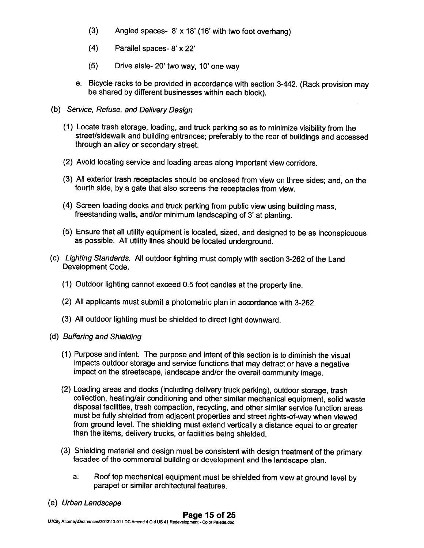- (3) Angled spaces- 8' <sup>x</sup> 18' (16' with two foot overhang)
- (4) Parallel spaces- 8' <sup>x</sup> 22'
- (5) Drive aisle- 20' two way, 10' one way
- e. Bicycle racks to be provided in accordance with section 3-442. (Rack provision may be shared by different businesses within each block).
- (b) Service, Refuse, and Delivery Design
	- (1) Locate trash storage, loading, and truck parking so as to minimize visibility from the street/sidewalk and building entrances; preferably to the rear of buildings and accessed through an alley or secondary street.
	- (2) Avoid locating service and loading areas along important view corridors.
	- (3) All exterior trash receptacles should be enclosed from view on three sides; and, on the fourth side, by <sup>a</sup> gate that also screens the receptacles from view.
	- (4) Screen loading docks and truck parking from public view using building mass, freestanding walls, and/or minimum landscaping of 3' at <sup>p</sup>lanting.
	- (5) Ensure that all utility equipment is located, sized, and designed to be as inconspicuous as possible. All utility lines should be located underground.
- (c) Lighting Standards. All outdoor lighting must comply with section 3-262 of the Land Development Code.
	- (1) Outdoor lighting cannot exceed 0.5 foot candles at the property line.
	- (2) All applicants must submit <sup>a</sup> <sup>p</sup>hotometric <sup>p</sup>lan in accordance with 3-262.
	- (3) All outdoor lighting must be shielded to direct light downward.
- (d) Buffering and Shielding
	- (1) Purpose and intent. The purpose and intent of this section is to diminish the visual impacts outdoor storage and service functions that may detract or have <sup>a</sup> negative impact on the streetscape, landscape and/or the overall community image.
	- (2) Loading areas and docks (including delivery truck parking), outdoor storage, trash collection, heating/air conditioning and other similar mechanical equipment, solid waste disposal facilities, trash compaction, recycling, and other similar service function areas must be fully shielded from adjacent properties and street rights-of-way when viewed from ground level. The shielding must extend vertically <sup>a</sup> distance equal to or greater than the items, delivery trucks, or facilities being shielded.
	- (3) Shielding material and design must be consistent with design treatment of the primary facades of the commercial building or development and the landscape <sup>p</sup>lan.
		- a. Roof top mechanical equipment must be shielded from view at ground level by parapet or similar architectural features.
- (e) Urban Landscape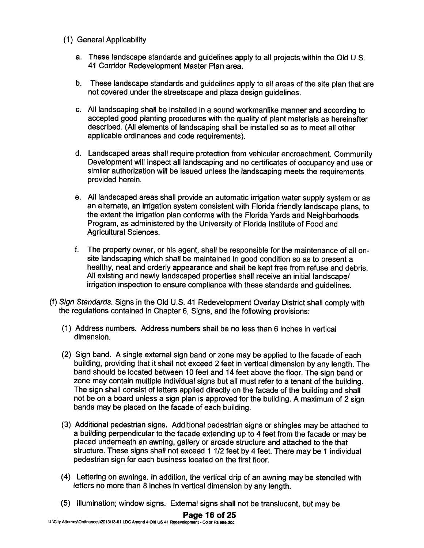- (1) General Applicability
	- a. These landscape standards and guidelines apply to all projects within the Old U.S. 41 Corridor Redevelopment Master Plan area.
	- b. These landscape standards and guidelines apply to all areas of the site <sup>p</sup>lan that are not covered under the streetscape and plaza design guidelines.
	- c. All landscaping shall be installed in <sup>a</sup> sound workmanlike manner and according to accepted good planting procedures with the quality of plant materials as hereinafter described. (All elements of landscaping shall be installed so as to meet all other applicable ordinances and code requirements).
	- d. Landscaped areas shall require protection from vehicular encroachment. Community Development will inspect all landscaping and no certificates of occupancy and use or similar authorization will be issued unless the landscaping meets the requirements provided herein.
	- e. All landscaped areas shall provide an automatic irrigation water supply system or as an alternate, an irrigation system consistent with Florida friendly landscape <sup>p</sup>lans, to the extent the irrigation <sup>p</sup>lan conforms with the Florida Yards and Neighborhoods Program, as administered by the University of Florida Institute of Food and Agricultural Sciences.
	- f. The property owner, or his agent, shall be responsible for the maintenance of all onsite landscaping which shall be maintained in goo<sup>d</sup> condition so as to presen<sup>t</sup> <sup>a</sup> healthy, neat and orderly appearance and shall be kept free from refuse and debris. All existing and newly landscaped properties shall receive an initial landscape/ irrigation inspection to ensure compliance with these standards and guidelines.
- (f) Sign Standards. Signs in the Old U.S. <sup>41</sup> Redevelopment Overlay District shall comply with the regulations contained in Chapter 6, Signs, and the following provisions:
	- (1) Address numbers. Address numbers shall be no less than 6 inches in vertical dimension.
	- (2) Sign band. <sup>A</sup> single external sign band or zone may be applied to the facade of each building, providing that it shall not exceed <sup>2</sup> feet in vertical dimension by any length. The band should be located between <sup>10</sup> feet and <sup>14</sup> feet above the floor. The sign band or zone may contain multiple individual signs but all must refer to <sup>a</sup> tenant of the building. The sign shall consist of letters applied directly on the facade of the building and shall not be on <sup>a</sup> board unless <sup>a</sup> sign <sup>p</sup>lan is approve<sup>d</sup> for the building. <sup>A</sup> maximum of <sup>2</sup> sign bands may be placed on the facade of each building.
	- (3) Additional pedestrian signs. Additional pedestrian signs or shingles may be attached to <sup>a</sup> building perpendicular to the facade extending up to <sup>4</sup> feet from the facade or may be placed underneath an awning, gallery or arcade structure and attached to the that structure. These signs shall not exceed 1 1/2 feet by 4 feet. There may be 1 individual pedestrian sign for each business located on the first floor.
	- (4) Lettering on awnings. In addition, the vertical drip of an awning may be stenciled with letters no more than <sup>8</sup> inches in vertical dimension by any length.
	- (5) Illumination; window signs. External signs shall not be translucent, but may be

#### Page 16 of 25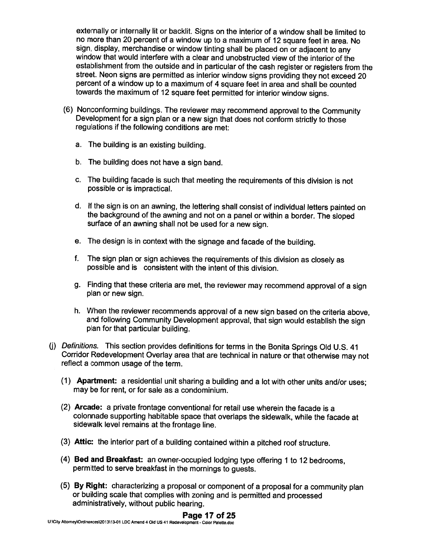externally or internally lit or backlit. Signs on the interior of <sup>a</sup> window shall be limited to no more than <sup>20</sup> percent of <sup>a</sup> window up to <sup>a</sup> maximum of <sup>12</sup> square feet in area. No sign, display, merchandise or window tinting shall be <sup>p</sup>laced on or adjacent to any window that would interfere with <sup>a</sup> clear and unobstructed view of the interior of the establishment from the outside and in particular of the cash register or registers from the street. Neon signs are permitted as interior window signs providing they not exceed <sup>20</sup> percent of <sup>a</sup> window up to <sup>a</sup> maximum of <sup>4</sup> square feet in area and shall be counted towards the maximum of <sup>12</sup> square feet permitted for interior window signs.

- (6) Nonconforming buildings. The reviewer may recommend approval to the Community Development for <sup>a</sup> sign <sup>p</sup>lan or <sup>a</sup> new sign that does not conform strictly to those regulations if the following conditions are met:
	- a. The building is an existing building.
	- b. The building does not have <sup>a</sup> sign band.
	- c. The building facade is such that meeting the requirements of this division is not possible or is impractical.
	- d. If the sign is on an awning, the lettering shall consist of individual letters painted on the background of the awning and not on <sup>a</sup> panel or within <sup>a</sup> border. The sloped surface of an awning shall not be used for <sup>a</sup> new sign.
	- e. The design is in context with the signage and facade of the building.
	- f. The sign <sup>p</sup>lan or sign achieves the requirements of this division as closely as possible and is consistent with the intent of this division.
	- g. Finding that these criteria are met, the reviewer may recommend approval of <sup>a</sup> sign plan or new sign.
	- h. When the reviewer recommends approval of <sup>a</sup> new sign based on the criteria above, and following Community Development approval, that sign would establish the sign <sup>p</sup>lan for that particular building.
- (j) Definitions. This section provides definitions for terms in the Bonita Springs Old U.S. <sup>41</sup> Corridor Redevelopment Overlay area that are technical in nature or that otherwise may not reflect <sup>a</sup> common usage of the term.
	- (1) Apartment: <sup>a</sup> residential unit sharing <sup>a</sup> building and <sup>a</sup> lot with other units and/or uses; may be for rent, or for sale as <sup>a</sup> condominium.
	- (2) Arcade: <sup>a</sup> private frontage conventional for retail use wherein the facade is <sup>a</sup> colonnade supporting habitable space that overlaps the sidewalk, while the facade at sidewalk level remains at the frontage line.
	- (3) Attic: the interior part of <sup>a</sup> building contained within <sup>a</sup> <sup>p</sup>itched roof structure.
	- (4) Bed and Breakfast: an owner-occupied lodging type offering <sup>1</sup> to <sup>12</sup> bedrooms, permitted to serve breakfast in the mornings to guests.
	- (5) By Right: characterizing <sup>a</sup> proposal or component of <sup>a</sup> proposal for <sup>a</sup> community <sup>p</sup>lan or building scale that complies with zoning and is permitted and processed administratively, without public hearing.

#### Page 17 of 25

UNCity Attorney\Ordinances\2013\13-01 LDC Amend 4 Old US 41 Redevelopment - Color Palette.doc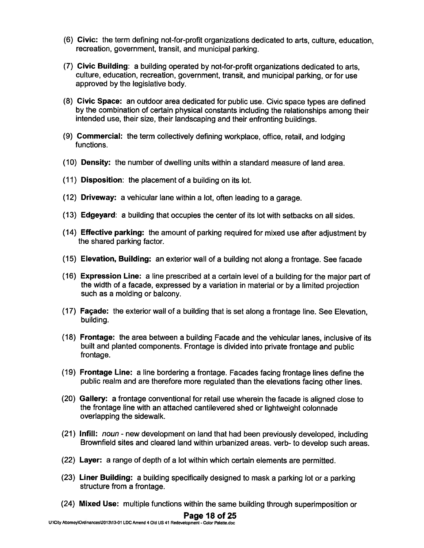- (6) Civic: the term defining not-for-profit organizations dedicated to arts, culture, education, recreation, government, transit, and municipal parking.
- (7) Civic Building: <sup>a</sup> building operated by not-for-profit organizations dedicated to arts, culture, education, recreation, government, transit, and municipal parking, or for use approved by the legislative body.
- (8) Civic Space: an outdoor area dedicated for public use. Civic space types are defined by the combination of certain <sup>p</sup>hysical constants including the relationships among their intended use, their size, their landscaping and their enfronting buildings.
- (9) Commercial: the term collectively defining workplace, office, retail, and lodging functions.
- (10) Density: the number of dwelling units within <sup>a</sup> standard measure of land area.
- (11) Disposition: the placement of <sup>a</sup> building on its lot.
- (12) Driveway: <sup>a</sup> vehicular lane within <sup>a</sup> lot, often leading to <sup>a</sup> garage.
- (13) Edgeyard: <sup>a</sup> building that occupies the center of its lot with setbacks on all sides.
- (14) Effective parking: the amount of parking required for mixed use after adjustment by the shared parking factor.
- (15) Elevation, Building: an exterior wall of <sup>a</sup> building not along <sup>a</sup> frontage. See facade
- (16) Expression Line: <sup>a</sup> line prescribed at <sup>a</sup> certain level of <sup>a</sup> building for the major par<sup>t</sup> of the width of <sup>a</sup> facade, expresse<sup>d</sup> by <sup>a</sup> variation in material or by <sup>a</sup> limited projection such as <sup>a</sup> molding or balcony.
- (17) Façade: the exterior wall of <sup>a</sup> building that is set along <sup>a</sup> frontage line. See Elevation, building.
- (18) Frontage: the area between <sup>a</sup> building Facade and the vehicular lanes, inclusive of its built and <sup>p</sup>lanted components. Frontage is divided into private frontage and public frontage.
- (19) Frontage Line: <sup>a</sup> line bordering <sup>a</sup> frontage. Facades facing frontage lines define the public realm and are therefore more regulated than the elevations facing other lines.
- (20) Gallery: <sup>a</sup> frontage conventional for retail use wherein the facade is aligned close to the frontage line with an attached cantilevered shed or lightweight colonnade overlapping the sidewalk.
- (21) Infill: noun new development on land that had been previously developed, including Brownfield sites and cleared land within urbanized areas. verb- to develop such areas.
- (22) Layer: <sup>a</sup> range of depth of <sup>a</sup> lot within which certain elements are permitted.
- (23) Liner Building: <sup>a</sup> building specifically designed to mask <sup>a</sup> parking lot or <sup>a</sup> parking structure from <sup>a</sup> frontage.
- (24) Mixed Use: multiple functions within the same building through superimposition or

#### Page 18 of 25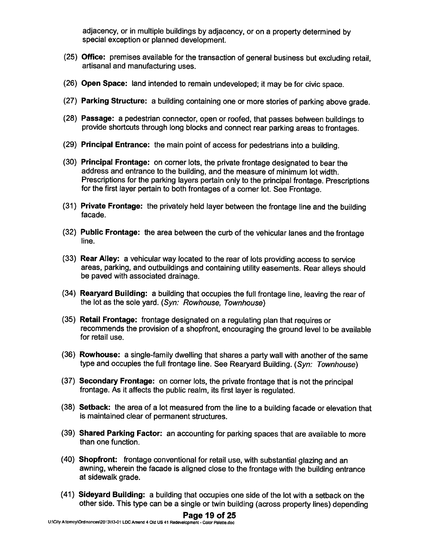adjacency, or in multiple buildings by adjacency, or on <sup>a</sup> property determined by special exception or <sup>p</sup>lanned development.

- (25) Office: premises available for the transaction of genera<sup>l</sup> business but excluding retail, artisanal and manufacturing uses.
- (26) Open Space: land intended to remain undeveloped; it may be for civic space.
- (27) Parking Structure: <sup>a</sup> building containing one or more stories of parking above grade.
- (28) Passage: <sup>a</sup> pedestrian connector, open or roofed, that passes between buildings to provide shortcuts through long blocks and connect rear parking areas to frontages.
- (29) Principal Entrance: the main point of access for pedestrians into <sup>a</sup> building.
- (30) Principal Frontage: on corner lots, the private frontage designated to bear the address and entrance to the building, and the measure of minimum lot width. Prescriptions for the parking layers pertain only to the principal frontage. Prescriptions for the first layer pertain to both frontages of <sup>a</sup> corner lot. See Frontage.
- (31) Private Frontage: the privately held layer between the frontage line and the building facade.
- (32) Public Frontage: the area between the curb of the vehicular lanes and the frontage line.
- (33) Rear Alley: <sup>a</sup> vehicular way located to the rear of lots providing access to service areas, parking, and outbuildings and containing utility easements. Rear alleys should be paved with associated drainage.
- (34) Rearyard Building: <sup>a</sup> building that occupies the full frontage line, leaving the rear of the lot as the sole yard. (Syn: Rowhouse, Townhouse)
- (35) Retail Frontage: frontage designated on <sup>a</sup> regulating <sup>p</sup>lan that requires or recommends the provision of <sup>a</sup> shopfront, encouraging the groun<sup>d</sup> level to be available for retail use.
- (36) Rowhouse: <sup>a</sup> single-family dwelling that shares <sup>a</sup> party wall with another of the same type and occupies the full frontage line. See Rearyard Building. (Syn: Townhouse)
- (37) Secondary Frontage: on corner lots, the private frontage that is not the principal frontage. As it affects the public realm, its first layer is regulated.
- (38) Setback: the area of <sup>a</sup> lot measured from the line to <sup>a</sup> building facade or elevation that is maintained clear of permanen<sup>t</sup> structures.
- (39) Shared Parking Factor: an accounting for parking spaces that are available to more than one function.
- (40) Shopfront: frontage conventional for retail use, with substantial <sup>g</sup>lazing and an awning, wherein the facade is aligned close to the frontage with the building entrance at sidewalk grade.
- (41) Sideyard Building: <sup>a</sup> building that occupies one side of the lot with <sup>a</sup> setback on the other side. This type can be <sup>a</sup> single or twin building (across property lines) depending

#### Page 19 of 25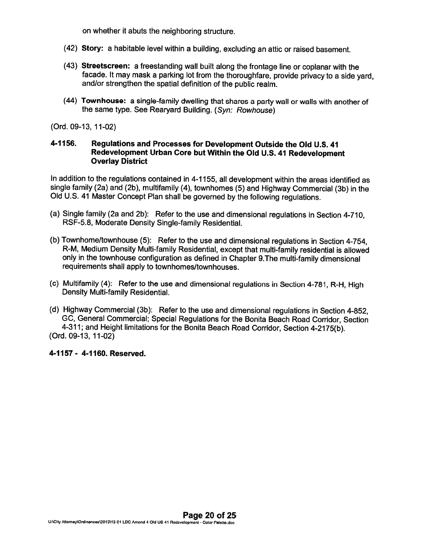on whether it abuts the neighboring structure.

- (42) Story: <sup>a</sup> habitable level within <sup>a</sup> building, excluding an attic or raised basement.
- (43) Streetscreen: <sup>a</sup> freestanding wall built along the frontage line or coplanar with the facade. It may mask <sup>a</sup> parking lot from the thoroughfare, provide privacy to <sup>a</sup> side yard, and/or strengthen the spatial definition of the public realm.
- (44) Townhouse: <sup>a</sup> single-family dwelling that shares <sup>a</sup> party wall or walls with another of the same type. See Rearyard Building. (Syn: Rowhouse)

(Ord. 09-13, 11-02)

#### 4-1156. Regulations and Processes for Development Outside the Old U.S. <sup>41</sup> Redevelopment Urban Core but Within the Old U.S. <sup>41</sup> Redevelopment Overlay District

In addition to the regulations contained in 4-1 155, all development within the areas identified as single family (2a) and (2b), multifamily (4), townhomes (5) and Highway Commercial (3b) in the Old U.S. <sup>41</sup> Master Concept Plan shall be governed by the following regulations.

- (a) Single family (2a and 2b): Refer to the use and dimensional regulations in Section 4-710, RSF-5.8, Moderate Density Single-family Residential.
- (b) Townhome/townhouse (5): Refer to the use and dimensional regulations in Section 4-754, R-M, Medium Density Multi-family Residential, except that multi-family residential is allowed only in the townhouse configuration as defined in Chapter 9.The multi-family dimensional requirements shall apply to townhomes/townhouses.
- (c) Multifamily (4): Refer to the use and dimensional regulations in Section 4-781, R-H, High Density Multi-family Residential.
- (d) Highway Commercial (3b): Refer to the use and dimensional regulations in Section 4-852, GC, General Commercial; Special Regulations for the Bonita Beach Road Corridor, Section 4-311; and Height limitations for the Bonita Beach Road Corridor, Section 4-2175(b). (Ord. 09-13, 11-02)

4-1157 - 4-1160. Reserved.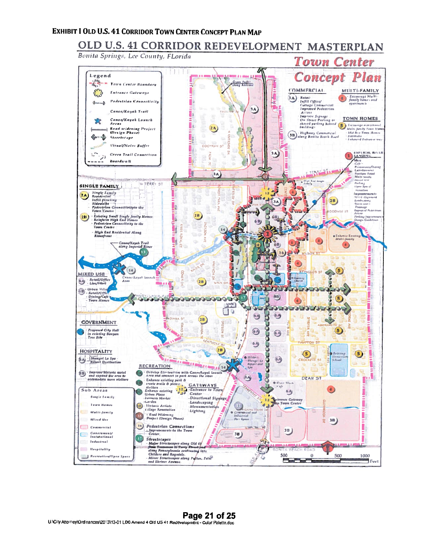# EXHIBIT I OLD U.S. 41 CORRIDOR TOWN CENTER CONCEPT PLAN MAP

# OLD U.S. 41 CORRIDOR REDEVELOPMENT MASTERPLAN

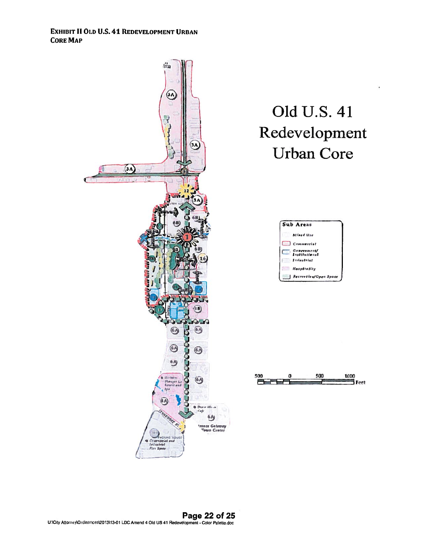EXHIBIT II OLD U.S. 41 REDEvELOPMENT URBAN CORE MAP

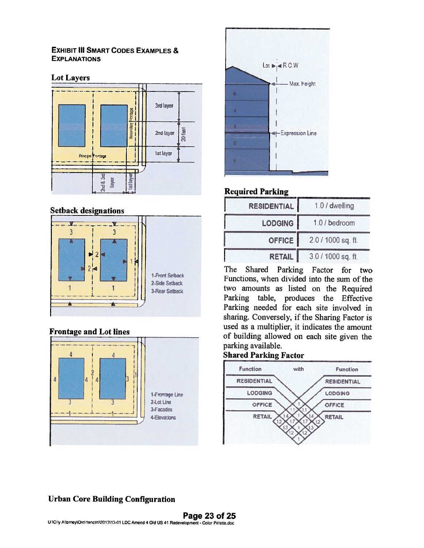#### EXHIBIT III SMART CODES EXAMPLES & **EXPLANATIONS**

### **Lot Layers**



#### Setback designations



# Frontage and Lot lines





# Required Parking

| <b>RESIDENTIAL</b> | 1.0 / dwelling     |  |
|--------------------|--------------------|--|
| LODGING            | 1.0 / bedroom      |  |
| OFFICE             | 2.0 / 1000 sq. ft. |  |
| <b>RETAIL</b>      | 3.0 / 1000 sq. ft. |  |

The Shared Parking Factor for two Functions, when divided into the sum of the two amounts as listed on the Required Parking table, produces the Effective Parking needed for each site involved in sharing. Conversely, if the Sharing Factor is used as <sup>a</sup> multiplier, it indicates the amount of building allowed on each site <sup>g</sup>iven the parking available.

# Shared Parking Factor



# Urban Core Building Configuration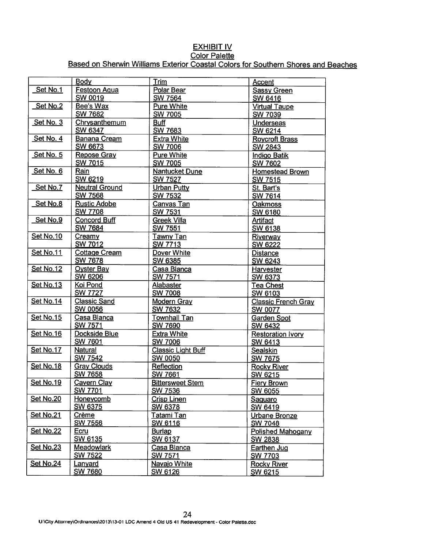# **EXHIBIT IV** Color Palette Based on Sherwin Williams Exterior Coastal Colors for Southern Shores and Beaches

|                  | Body                                 | <b>Trim</b>                               | Accent                                |  |
|------------------|--------------------------------------|-------------------------------------------|---------------------------------------|--|
| Set No.1         | <b>Festoon Aqua</b>                  | Polar Bear                                | <b>Sassy Green</b>                    |  |
|                  | <b>SW 0019</b>                       | <b>SW 7564</b>                            | SW 6416                               |  |
| <b>Set No.2</b>  | Bee's Wax                            | <b>Pure White</b>                         | <b>Virtual Taupe</b>                  |  |
|                  | <b>SW 7682</b>                       | SW 7005                                   | SW 7039                               |  |
| Set No. 3        | Chrysanthemum                        | <b>Buff</b>                               | Underseas                             |  |
|                  | <b>SW 6347</b>                       | <b>SW 7683</b>                            | SW 6214                               |  |
| Set No. 4        | <b>Banana Cream</b>                  | <b>Extra White</b>                        | <b>Roycroft Brass</b>                 |  |
| Set No. 5        | <b>SW 6673</b><br><b>Repose Gray</b> | <b>SW 7006</b><br><b>Pure White</b>       | <b>SW 2843</b>                        |  |
|                  | <b>SW 7015</b>                       | <b>SW 7005</b>                            | <b>Indigo Batik</b><br><b>SW 7602</b> |  |
| Set No. 6        | Rain                                 | <b>Nantucket Dune</b>                     | <b>Homestead Brown</b>                |  |
|                  | <b>SW 6219</b>                       | <b>SW 7527</b>                            | <b>SW 7515</b>                        |  |
| Set No.7         | <b>Neutral Ground</b>                | Urban Putty                               | St. Bart's                            |  |
|                  | SW 7568                              | <b>SW 7532</b>                            | <b>SW 7614</b>                        |  |
| Set No.8         | <b>Rustic Adobe</b>                  | <b>Canvas Tan</b>                         | Oakmoss                               |  |
|                  | <b>SW 7708</b>                       | <b>SW 7531</b>                            | <b>SW 6180</b>                        |  |
| Set No.9         | <b>Concord Buff</b>                  | <b>Greek Villa</b>                        | <b>Artifact</b>                       |  |
|                  | <b>SW 7684</b>                       | <b>SW 7551</b>                            | SW 6138                               |  |
| <b>Set No.10</b> | Creamy                               | <b>Tawny Tan</b>                          | Riverway                              |  |
|                  | <b>SW 7012</b>                       | <b>SW 7713</b>                            | <b>SW 6222</b>                        |  |
| <b>Set No.11</b> | <b>Cottage Cream</b>                 | Dover White                               | <b>Distance</b>                       |  |
|                  | <b>SW 7678</b>                       | <b>SW 6385</b>                            | SW 6243                               |  |
| <b>Set No.12</b> | <b>Oyster Bay</b><br><b>SW 6206</b>  | Casa Blanca<br><b>SW 7571</b>             | Harvester<br>SW 6373                  |  |
| <b>Set No.13</b> | Koi Pond                             | <b>Alabaster</b>                          | <b>Tea Chest</b>                      |  |
|                  | <b>SW 7727</b>                       | <b>SW 7008</b>                            | SW 6103                               |  |
| <b>Set No.14</b> | <b>Classic Sand</b>                  | <b>Modern Gray</b>                        | <b>Classic French Gray</b>            |  |
|                  | <b>SW 0056</b>                       | <b>SW 7632</b>                            | <b>SW 0077</b>                        |  |
| <b>Set No.15</b> | Casa Blanca                          | <b>Townhall Tan</b><br><b>Garden Spot</b> |                                       |  |
|                  | <b>SW 7571</b>                       | <b>SW 7690</b>                            | SW 6432                               |  |
| <b>Set No.16</b> | Dockside Blue                        | <b>Extra White</b>                        | <b>Restoration Ivory</b>              |  |
|                  | <b>SW 7601</b>                       | <b>SW 7006</b>                            | SW 6413                               |  |
| <b>Set No.17</b> | <b>Natural</b>                       | <b>Classic Light Buff</b>                 | Sealskin                              |  |
|                  | <b>SW 7542</b>                       | <b>SW 0050</b>                            | <b>SW 7675</b>                        |  |
| Set No.18        | <b>Gray Clouds</b>                   | Reflection                                | <b>Rocky River</b>                    |  |
| Set No.19        | <b>SW 7658</b>                       | <b>SW 7661</b>                            | SW 6215                               |  |
|                  | <b>Cavern Clay</b><br>SW 7701        | <b>Bittersweet Stem</b><br>SW 7536        | <b>Fiery Brown</b>                    |  |
| Set No.20        | Honeycomb                            | <b>Crisp Linen</b>                        | <b>SW 6055</b><br>Saguaro             |  |
|                  | SW 6375                              | <b>SW 6378</b>                            | <b>SW 6419</b>                        |  |
| Set No.21        | Crème                                | Tatami Tan                                | <b>Urbane Bronze</b>                  |  |
|                  | <b>SW 7556</b>                       | SW 6116                                   | <b>SW 7048</b>                        |  |
| <b>Set No.22</b> | Ecru                                 | <b>Burlap</b><br><b>Polished Mahogany</b> |                                       |  |
|                  | SW 6135                              | <b>SW 6137</b>                            | <b>SW 2838</b>                        |  |
| <b>Set No.23</b> | <b>Meadowlark</b>                    | Casa Blanca                               | <b>Earthen Jug</b>                    |  |
|                  | <b>SW 7522</b>                       | <b>SW 7571</b>                            | <b>SW 7703</b>                        |  |
| <b>Set No.24</b> | Lanyard                              | Navajo White                              | <b>Rocky River</b>                    |  |
|                  | <b>SW 7680</b>                       | SW 6126                                   | SW 6215                               |  |